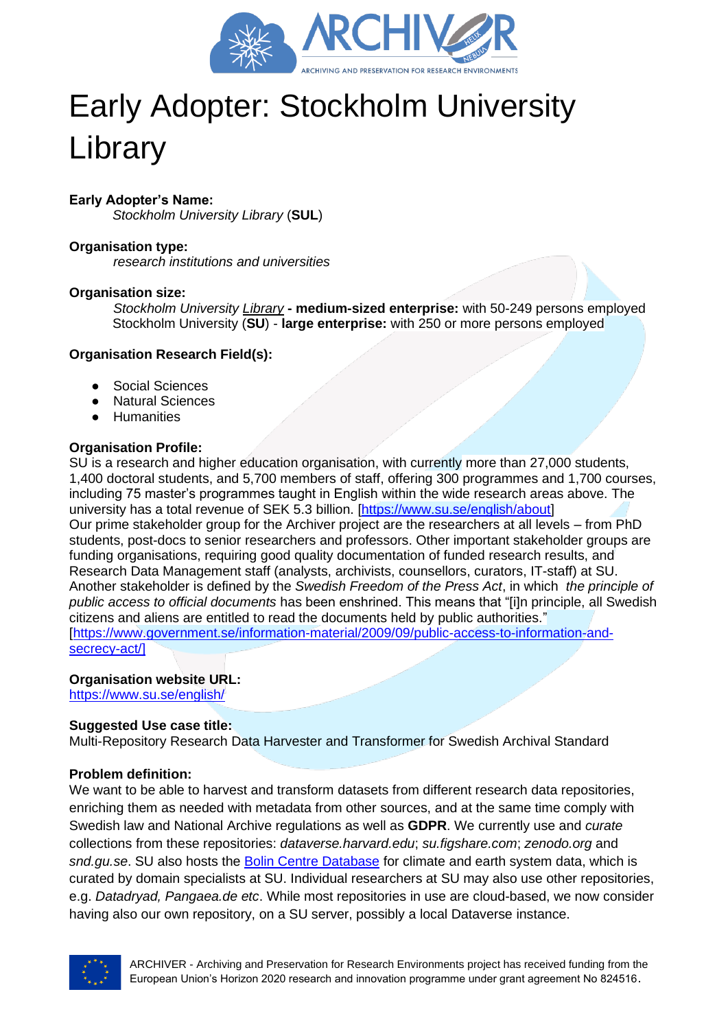

# Early Adopter: Stockholm University Library

# **Early Adopter's Name:**

*Stockholm University Library* (**SUL**)

### **Organisation type:**

*research institutions and universities*

#### **Organisation size:**

*Stockholm University Library* **- medium-sized enterprise:** with 50-249 persons employed Stockholm University (**SU**) - **large enterprise:** with 250 or more persons employed

#### **Organisation Research Field(s):**

- Social Sciences
- **Natural Sciences**
- Humanities

#### **Organisation Profile:**

SU is a research and higher education organisation, with currently more than 27,000 students, 1,400 doctoral students, and 5,700 members of staff, offering 300 programmes and 1,700 courses, including 75 master's programmes taught in English within the wide research areas above. The university has a total revenue of SEK 5.3 billion. [\[https://www.su.se/english/about\]](https://www.su.se/english/about) Our prime stakeholder group for the Archiver project are the researchers at all levels – from PhD students, post-docs to senior researchers and professors. Other important stakeholder groups are funding organisations, requiring good quality documentation of funded research results, and Research Data Management staff (analysts, archivists, counsellors, curators, IT-staff) at SU. Another stakeholder is defined by the *Swedish Freedom of the Press Act*, in which *the principle of public access to official documents* has been enshrined. This means that "[i]n principle, all Swedish citizens and aliens are entitled to read the documents held by public authorities." [\[https://www.government.se/information-material/2009/09/public-access-to-information-and](https://www.government.se/information-material/2009/09/public-access-to-information-and-secrecy-act/)[secrecy-act/\]](https://www.government.se/information-material/2009/09/public-access-to-information-and-secrecy-act/)

## **Organisation website URL:**

<https://www.su.se/english/>

## **Suggested Use case title:**

Multi-Repository Research Data Harvester and Transformer for Swedish Archival Standard

#### **Problem definition:**

We want to be able to harvest and transform datasets from different research data repositories, enriching them as needed with metadata from other sources, and at the same time comply with Swedish law and National Archive regulations as well as **GDPR**. We currently use and *curate* collections from these repositories: *dataverse.harvard.edu*; *su.figshare.com*; *zenodo.org* and *snd.gu.se*. SU also hosts the [Bolin Centre Database](https://bolin.su.se/data/) for climate and earth system data, which is curated by domain specialists at SU. Individual researchers at SU may also use other repositories, e.g. *Datadryad, Pangaea.de etc*. While most repositories in use are cloud-based, we now consider having also our own repository, on a SU server, possibly a local Dataverse instance.

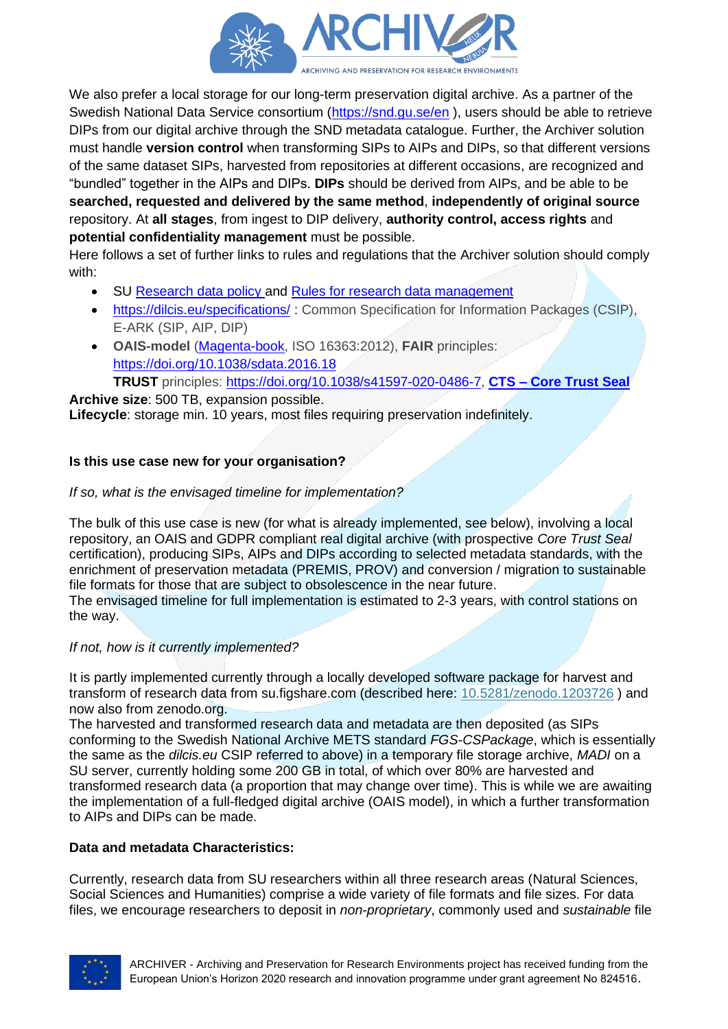

We also prefer a local storage for our long-term preservation digital archive. As a partner of the Swedish National Data Service consortium [\(https://snd.gu.se/en](https://snd.gu.se/en) ), users should be able to retrieve DIPs from our digital archive through the SND metadata catalogue. Further, the Archiver solution must handle **version control** when transforming SIPs to AIPs and DIPs, so that different versions of the same dataset SIPs, harvested from repositories at different occasions, are recognized and "bundled" together in the AIPs and DIPs. **DIPs** should be derived from AIPs, and be able to be **searched, requested and delivered by the same method**, **independently of original source** repository. At **all stages**, from ingest to DIP delivery, **authority control, access rights** and **potential confidentiality management** must be possible.

Here follows a set of further links to rules and regulations that the Archiver solution should comply with:

- SU [Research data policy](https://www.su.se/english/staff/organisation-governance/governing-documents-rules-and-regulations/research/research-data-policy-1.387809) and [Rules for research data management](https://www.su.se/english/staff/organisation-governance/governing-documents-rules-and-regulations/research/rules-for-research-data-management-1.387814)
- <https://dilcis.eu/specifications/> : Common Specification for Information Packages (CSIP), E-ARK (SIP, AIP, DIP)
- **OAIS-model** [\(Magenta-book,](https://public.ccsds.org/Pubs/650x0m2.pdf) ISO 16363:2012), **FAIR** principles: [https://doi.org/10.1038/sdata.2016.18](https://doi.org/10.1038%2Fsdata.2016.18)

**TRUST** principles: [https://doi.org/10.1038/s41597-020-0486-7,](https://doi.org/10.1038/s41597-020-0486-7) **CTS – [Core Trust Seal](https://www.coretrustseal.org/) Archive size**: 500 TB, expansion possible.

**Lifecycle**: storage min. 10 years, most files requiring preservation indefinitely.

# **Is this use case new for your organisation?**

## *If so, what is the envisaged timeline for implementation?*

The bulk of this use case is new (for what is already implemented, see below), involving a local repository, an OAIS and GDPR compliant real digital archive (with prospective *Core Trust Seal* certification), producing SIPs, AIPs and DIPs according to selected metadata standards, with the enrichment of preservation metadata (PREMIS, PROV) and conversion / migration to sustainable file formats for those that are subject to obsolescence in the near future.

The envisaged timeline for full implementation is estimated to 2-3 years, with control stations on the way.

# *If not, how is it currently implemented?*

It is partly implemented currently through a locally developed software package for harvest and transform of research data from su.figshare.com (described here: [10.5281/zenodo.1203726](https://doi.org/10.5281/zenodo.1203726) ) and now also from zenodo.org.

The harvested and transformed research data and metadata are then deposited (as SIPs conforming to the Swedish National Archive METS standard *FGS-CSPackage*, which is essentially the same as the *dilcis.eu* CSIP referred to above) in a temporary file storage archive, *MADI* on a SU server, currently holding some 200 GB in total, of which over 80% are harvested and transformed research data (a proportion that may change over time). This is while we are awaiting the implementation of a full-fledged digital archive (OAIS model), in which a further transformation to AIPs and DIPs can be made.

# **Data and metadata Characteristics:**

Currently, research data from SU researchers within all three research areas (Natural Sciences, Social Sciences and Humanities) comprise a wide variety of file formats and file sizes. For data files, we encourage researchers to deposit in *non-proprietary*, commonly used and *sustainable* file